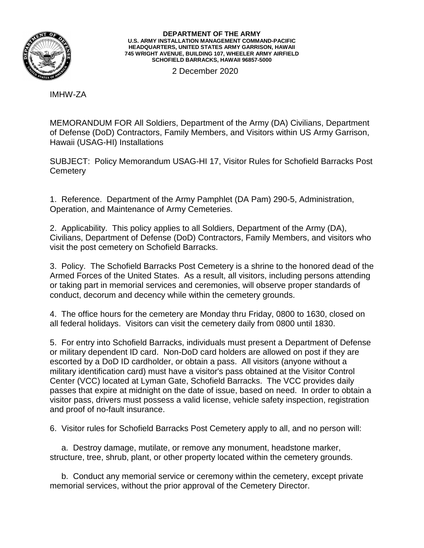

## **DEPARTMENT OF THE ARMY U.S. ARMY INSTALLATION MANAGEMENT COMMAND-PACIFIC HEADQUARTERS, UNITED STATES ARMY GARRISON, HAWAII 745 WRIGHT AVENUE, BUILDING 107, WHEELER ARMY AIRFIELD SCHOFIELD BARRACKS, HAWAII 96857-5000**

2 December 2020

IMHW-ZA

MEMORANDUM FOR All Soldiers, Department of the Army (DA) Civilians, Department of Defense (DoD) Contractors, Family Members, and Visitors within US Army Garrison, Hawaii (USAG-HI) Installations

SUBJECT: Policy Memorandum USAG-HI 17, Visitor Rules for Schofield Barracks Post **Cemetery** 

1. Reference. Department of the Army Pamphlet (DA Pam) 290-5, Administration, Operation, and Maintenance of Army Cemeteries.

2. Applicability. This policy applies to all Soldiers, Department of the Army (DA), Civilians, Department of Defense (DoD) Contractors, Family Members, and visitors who visit the post cemetery on Schofield Barracks.

3. Policy. The Schofield Barracks Post Cemetery is a shrine to the honored dead of the Armed Forces of the United States. As a result, all visitors, including persons attending or taking part in memorial services and ceremonies, will observe proper standards of conduct, decorum and decency while within the cemetery grounds.

4. The office hours for the cemetery are Monday thru Friday, 0800 to 1630, closed on all federal holidays. Visitors can visit the cemetery daily from 0800 until 1830.

5. For entry into Schofield Barracks, individuals must present a Department of Defense or military dependent ID card. Non-DoD card holders are allowed on post if they are escorted by a DoD ID cardholder, or obtain a pass. All visitors (anyone without a military identification card) must have a visitor's pass obtained at the Visitor Control Center (VCC) located at Lyman Gate, Schofield Barracks. The VCC provides daily passes that expire at midnight on the date of issue, based on need. In order to obtain a visitor pass, drivers must possess a valid license, vehicle safety inspection, registration and proof of no-fault insurance.

6. Visitor rules for Schofield Barracks Post Cemetery apply to all, and no person will:

 a. Destroy damage, mutilate, or remove any monument, headstone marker, structure, tree, shrub, plant, or other property located within the cemetery grounds.

 b. Conduct any memorial service or ceremony within the cemetery, except private memorial services, without the prior approval of the Cemetery Director.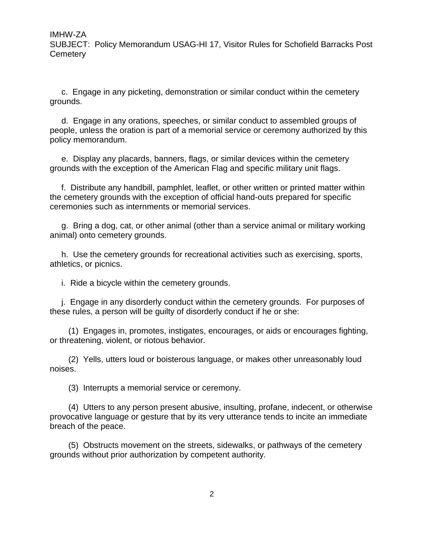c. Engage in any picketing, demonstration or similar conduct within the cemetery grounds.

 d. Engage in any orations, speeches, or similar conduct to assembled groups of people, unless the oration is part of a memorial service or ceremony authorized by this policy memorandum.

 e. Display any placards, banners, flags, or similar devices within the cemetery grounds with the exception of the American Flag and specific military unit flags.

 f. Distribute any handbill, pamphlet, leaflet, or other written or printed matter within the cemetery grounds with the exception of official hand-outs prepared for specific ceremonies such as internments or memorial services.

 g. Bring a dog, cat, or other animal (other than a service animal or military working animal) onto cemetery grounds.

 h. Use the cemetery grounds for recreational activities such as exercising, sports, athletics, or picnics.

i. Ride a bicycle within the cemetery grounds.

 j. Engage in any disorderly conduct within the cemetery grounds. For purposes of these rules, a person will be guilty of disorderly conduct if he or she:

 (1) Engages in, promotes, instigates, encourages, or aids or encourages fighting, or threatening, violent, or riotous behavior.

 (2) Yells, utters loud or boisterous language, or makes other unreasonably loud noises.

(3) Interrupts a memorial service or ceremony.

 (4) Utters to any person present abusive, insulting, profane, indecent, or otherwise provocative language or gesture that by its very utterance tends to incite an immediate breach of the peace.

 (5) Obstructs movement on the streets, sidewalks, or pathways of the cemetery grounds without prior authorization by competent authority.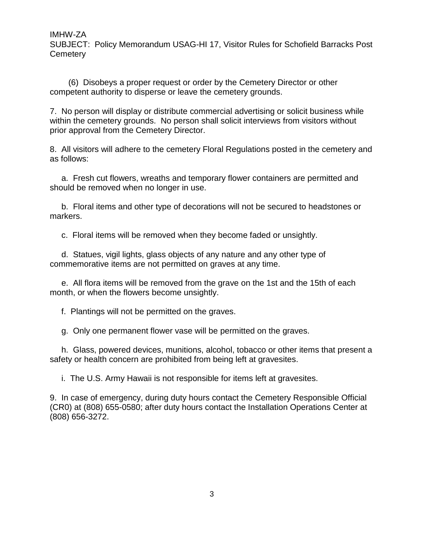IMHW-ZA

SUBJECT: Policy Memorandum USAG-HI 17, Visitor Rules for Schofield Barracks Post **Cemetery** 

 (6) Disobeys a proper request or order by the Cemetery Director or other competent authority to disperse or leave the cemetery grounds.

7. No person will display or distribute commercial advertising or solicit business while within the cemetery grounds. No person shall solicit interviews from visitors without prior approval from the Cemetery Director.

8. All visitors will adhere to the cemetery Floral Regulations posted in the cemetery and as follows:

 a. Fresh cut flowers, wreaths and temporary flower containers are permitted and should be removed when no longer in use.

 b. Floral items and other type of decorations will not be secured to headstones or markers.

c. Floral items will be removed when they become faded or unsightly.

 d. Statues, vigil lights, glass objects of any nature and any other type of commemorative items are not permitted on graves at any time.

 e. All flora items will be removed from the grave on the 1st and the 15th of each month, or when the flowers become unsightly.

f. Plantings will not be permitted on the graves.

g. Only one permanent flower vase will be permitted on the graves.

 h. Glass, powered devices, munitions, alcohol, tobacco or other items that present a safety or health concern are prohibited from being left at gravesites.

i. The U.S. Army Hawaii is not responsible for items left at gravesites.

9. In case of emergency, during duty hours contact the Cemetery Responsible Official (CR0) at (808) 655-0580; after duty hours contact the Installation Operations Center at (808) 656-3272.